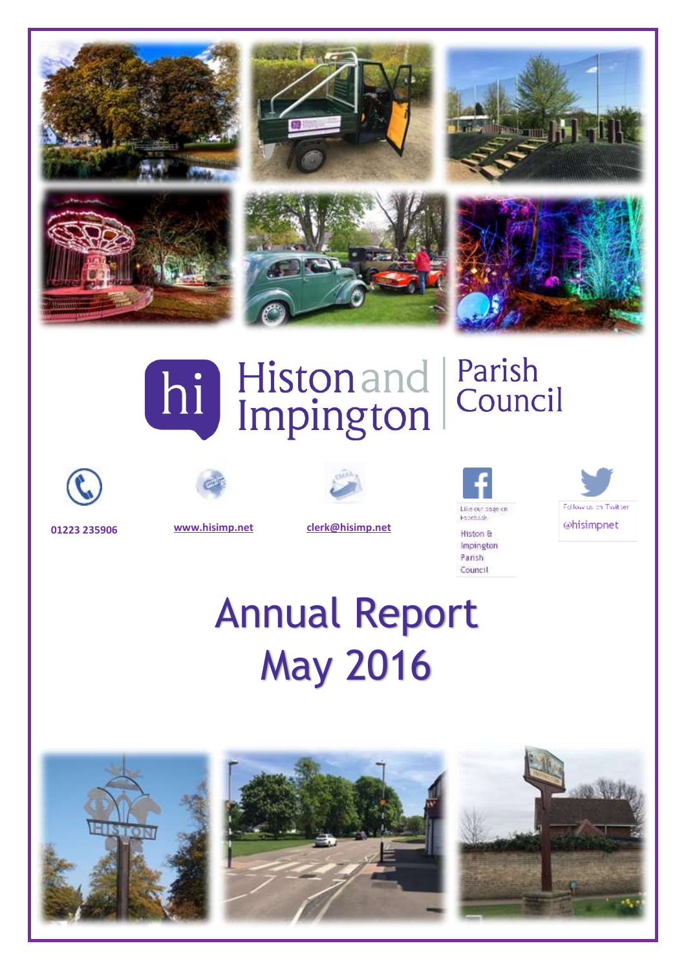

# hi Histonand

### Parish Council







**01223 235906 [www.hisimp.net](http://www.hisimp.net/) [clerk@hisimp.net](mailto:clerk@hisimp.net)**



Follow us on Twitter @hisimpnet

## Annual Report May 2016

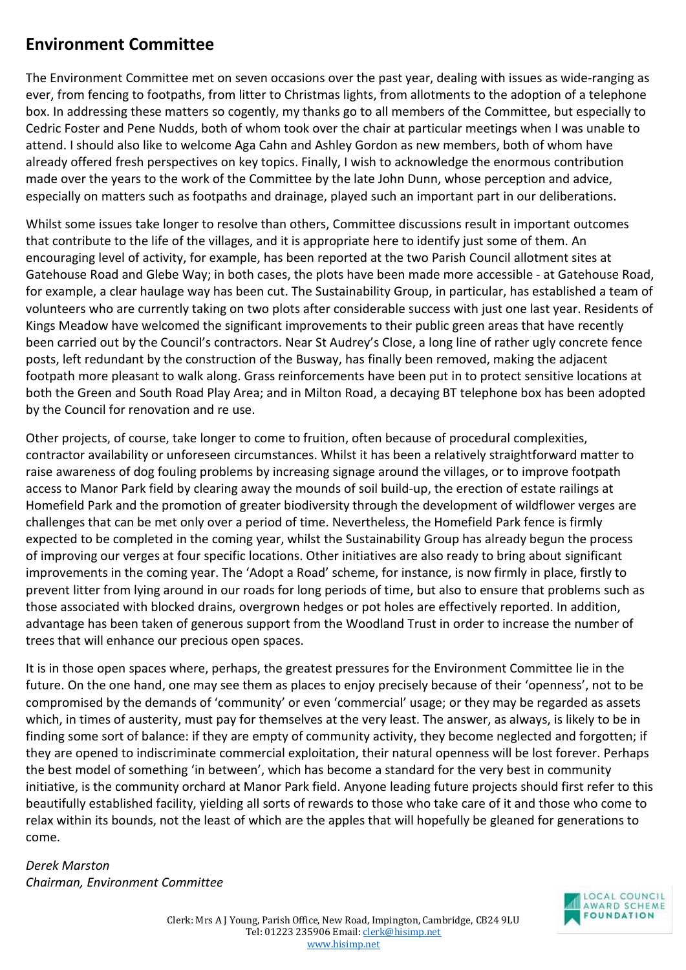#### **Environment Committee**

The Environment Committee met on seven occasions over the past year, dealing with issues as wide-ranging as ever, from fencing to footpaths, from litter to Christmas lights, from allotments to the adoption of a telephone box. In addressing these matters so cogently, my thanks go to all members of the Committee, but especially to Cedric Foster and Pene Nudds, both of whom took over the chair at particular meetings when I was unable to attend. I should also like to welcome Aga Cahn and Ashley Gordon as new members, both of whom have already offered fresh perspectives on key topics. Finally, I wish to acknowledge the enormous contribution made over the years to the work of the Committee by the late John Dunn, whose perception and advice, especially on matters such as footpaths and drainage, played such an important part in our deliberations.

Whilst some issues take longer to resolve than others, Committee discussions result in important outcomes that contribute to the life of the villages, and it is appropriate here to identify just some of them. An encouraging level of activity, for example, has been reported at the two Parish Council allotment sites at Gatehouse Road and Glebe Way; in both cases, the plots have been made more accessible - at Gatehouse Road, for example, a clear haulage way has been cut. The Sustainability Group, in particular, has established a team of volunteers who are currently taking on two plots after considerable success with just one last year. Residents of Kings Meadow have welcomed the significant improvements to their public green areas that have recently been carried out by the Council's contractors. Near St Audrey's Close, a long line of rather ugly concrete fence posts, left redundant by the construction of the Busway, has finally been removed, making the adjacent footpath more pleasant to walk along. Grass reinforcements have been put in to protect sensitive locations at both the Green and South Road Play Area; and in Milton Road, a decaying BT telephone box has been adopted by the Council for renovation and re use.

Other projects, of course, take longer to come to fruition, often because of procedural complexities, contractor availability or unforeseen circumstances. Whilst it has been a relatively straightforward matter to raise awareness of dog fouling problems by increasing signage around the villages, or to improve footpath access to Manor Park field by clearing away the mounds of soil build-up, the erection of estate railings at Homefield Park and the promotion of greater biodiversity through the development of wildflower verges are challenges that can be met only over a period of time. Nevertheless, the Homefield Park fence is firmly expected to be completed in the coming year, whilst the Sustainability Group has already begun the process of improving our verges at four specific locations. Other initiatives are also ready to bring about significant improvements in the coming year. The 'Adopt a Road' scheme, for instance, is now firmly in place, firstly to prevent litter from lying around in our roads for long periods of time, but also to ensure that problems such as those associated with blocked drains, overgrown hedges or pot holes are effectively reported. In addition, advantage has been taken of generous support from the Woodland Trust in order to increase the number of trees that will enhance our precious open spaces.

It is in those open spaces where, perhaps, the greatest pressures for the Environment Committee lie in the future. On the one hand, one may see them as places to enjoy precisely because of their 'openness', not to be compromised by the demands of 'community' or even 'commercial' usage; or they may be regarded as assets which, in times of austerity, must pay for themselves at the very least. The answer, as always, is likely to be in finding some sort of balance: if they are empty of community activity, they become neglected and forgotten; if they are opened to indiscriminate commercial exploitation, their natural openness will be lost forever. Perhaps the best model of something 'in between', which has become a standard for the very best in community initiative, is the community orchard at Manor Park field. Anyone leading future projects should first refer to this beautifully established facility, yielding all sorts of rewards to those who take care of it and those who come to relax within its bounds, not the least of which are the apples that will hopefully be gleaned for generations to come.

*Derek Marston Chairman, Environment Committee*

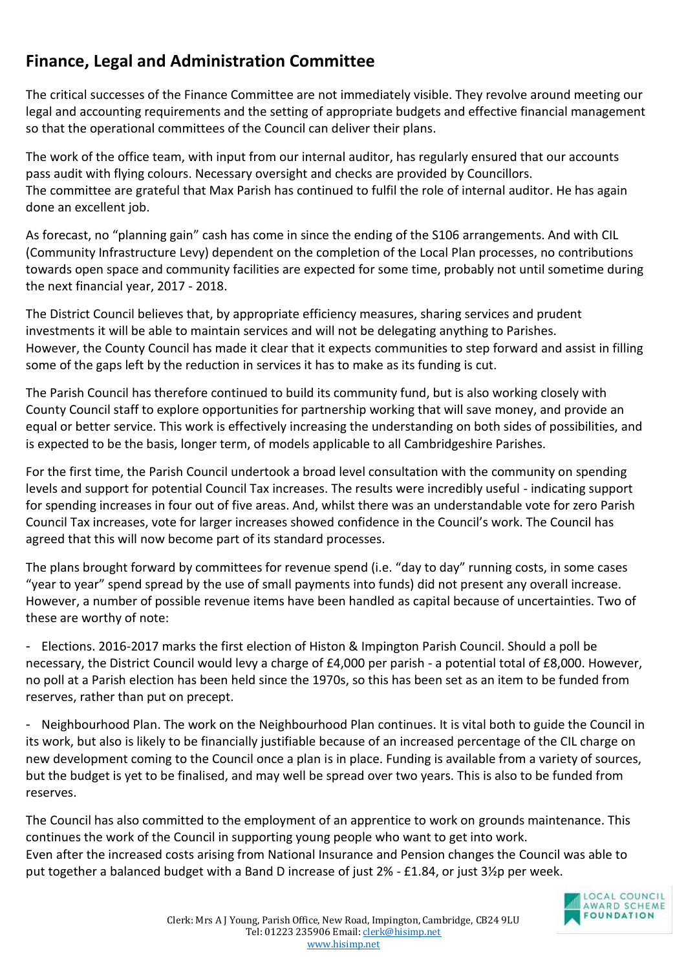#### **Finance, Legal and Administration Committee**

The critical successes of the Finance Committee are not immediately visible. They revolve around meeting our legal and accounting requirements and the setting of appropriate budgets and effective financial management so that the operational committees of the Council can deliver their plans.

The work of the office team, with input from our internal auditor, has regularly ensured that our accounts pass audit with flying colours. Necessary oversight and checks are provided by Councillors. The committee are grateful that Max Parish has continued to fulfil the role of internal auditor. He has again done an excellent job.

As forecast, no "planning gain" cash has come in since the ending of the S106 arrangements. And with CIL (Community Infrastructure Levy) dependent on the completion of the Local Plan processes, no contributions towards open space and community facilities are expected for some time, probably not until sometime during the next financial year, 2017 - 2018.

The District Council believes that, by appropriate efficiency measures, sharing services and prudent investments it will be able to maintain services and will not be delegating anything to Parishes. However, the County Council has made it clear that it expects communities to step forward and assist in filling some of the gaps left by the reduction in services it has to make as its funding is cut.

The Parish Council has therefore continued to build its community fund, but is also working closely with County Council staff to explore opportunities for partnership working that will save money, and provide an equal or better service. This work is effectively increasing the understanding on both sides of possibilities, and is expected to be the basis, longer term, of models applicable to all Cambridgeshire Parishes.

For the first time, the Parish Council undertook a broad level consultation with the community on spending levels and support for potential Council Tax increases. The results were incredibly useful - indicating support for spending increases in four out of five areas. And, whilst there was an understandable vote for zero Parish Council Tax increases, vote for larger increases showed confidence in the Council's work. The Council has agreed that this will now become part of its standard processes.

The plans brought forward by committees for revenue spend (i.e. "day to day" running costs, in some cases "year to year" spend spread by the use of small payments into funds) did not present any overall increase. However, a number of possible revenue items have been handled as capital because of uncertainties. Two of these are worthy of note:

- Elections. 2016-2017 marks the first election of Histon & Impington Parish Council. Should a poll be necessary, the District Council would levy a charge of £4,000 per parish - a potential total of £8,000. However, no poll at a Parish election has been held since the 1970s, so this has been set as an item to be funded from reserves, rather than put on precept.

- Neighbourhood Plan. The work on the Neighbourhood Plan continues. It is vital both to guide the Council in its work, but also is likely to be financially justifiable because of an increased percentage of the CIL charge on new development coming to the Council once a plan is in place. Funding is available from a variety of sources, but the budget is yet to be finalised, and may well be spread over two years. This is also to be funded from reserves.

The Council has also committed to the employment of an apprentice to work on grounds maintenance. This continues the work of the Council in supporting young people who want to get into work. Even after the increased costs arising from National Insurance and Pension changes the Council was able to put together a balanced budget with a Band D increase of just 2% - £1.84, or just 3½p per week.

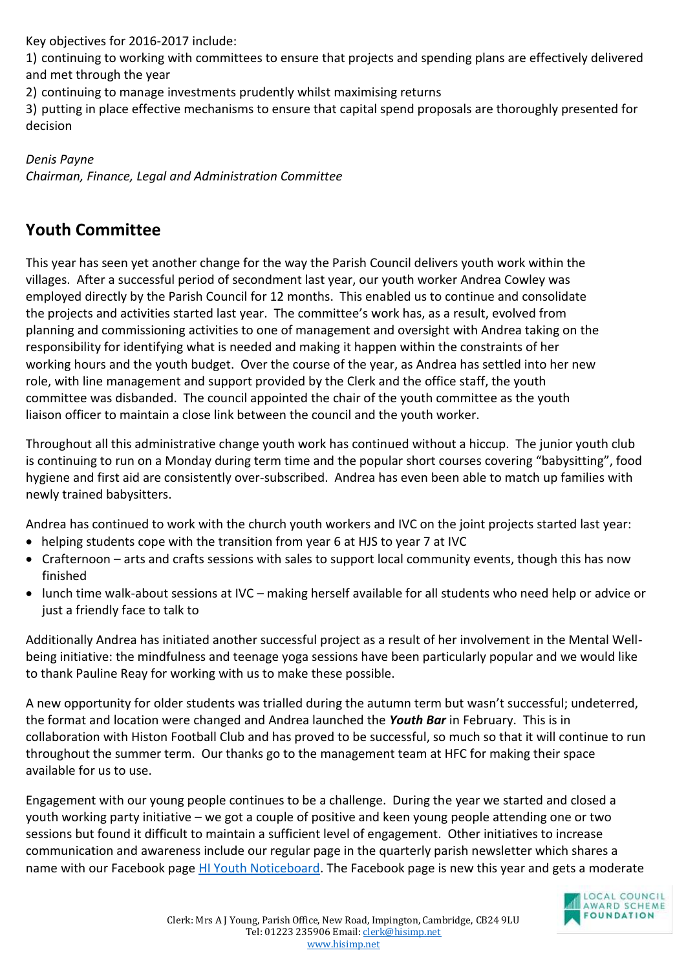Key objectives for 2016-2017 include:

1) continuing to working with committees to ensure that projects and spending plans are effectively delivered and met through the year

2) continuing to manage investments prudently whilst maximising returns

3) putting in place effective mechanisms to ensure that capital spend proposals are thoroughly presented for decision

*Denis Payne Chairman, Finance, Legal and Administration Committee*

#### **Youth Committee**

This year has seen yet another change for the way the Parish Council delivers youth work within the villages. After a successful period of secondment last year, our youth worker Andrea Cowley was employed directly by the Parish Council for 12 months. This enabled us to continue and consolidate the projects and activities started last year. The committee's work has, as a result, evolved from planning and commissioning activities to one of management and oversight with Andrea taking on the responsibility for identifying what is needed and making it happen within the constraints of her working hours and the youth budget. Over the course of the year, as Andrea has settled into her new role, with line management and support provided by the Clerk and the office staff, the youth committee was disbanded. The council appointed the chair of the youth committee as the youth liaison officer to maintain a close link between the council and the youth worker.

Throughout all this administrative change youth work has continued without a hiccup. The junior youth club is continuing to run on a Monday during term time and the popular short courses covering "babysitting", food hygiene and first aid are consistently over-subscribed. Andrea has even been able to match up families with newly trained babysitters.

Andrea has continued to work with the church youth workers and IVC on the joint projects started last year:

- helping students cope with the transition from year 6 at HJS to year 7 at IVC
- Crafternoon arts and crafts sessions with sales to support local community events, though this has now finished
- lunch time walk-about sessions at IVC making herself available for all students who need help or advice or just a friendly face to talk to

Additionally Andrea has initiated another successful project as a result of her involvement in the Mental Wellbeing initiative: the mindfulness and teenage yoga sessions have been particularly popular and we would like to thank Pauline Reay for working with us to make these possible.

A new opportunity for older students was trialled during the autumn term but wasn't successful; undeterred, the format and location were changed and Andrea launched the *Youth Bar* in February. This is in collaboration with Histon Football Club and has proved to be successful, so much so that it will continue to run throughout the summer term. Our thanks go to the management team at HFC for making their space available for us to use.

Engagement with our young people continues to be a challenge. During the year we started and closed a youth working party initiative – we got a couple of positive and keen young people attending one or two sessions but found it difficult to maintain a sufficient level of engagement. Other initiatives to increase communication and awareness include our regular page in the quarterly parish newsletter which shares a name with our Facebook page [HI Youth Noticeboard.](https://www.facebook.com/HIyouthNoticeboard/) The Facebook page is new this year and gets a moderate

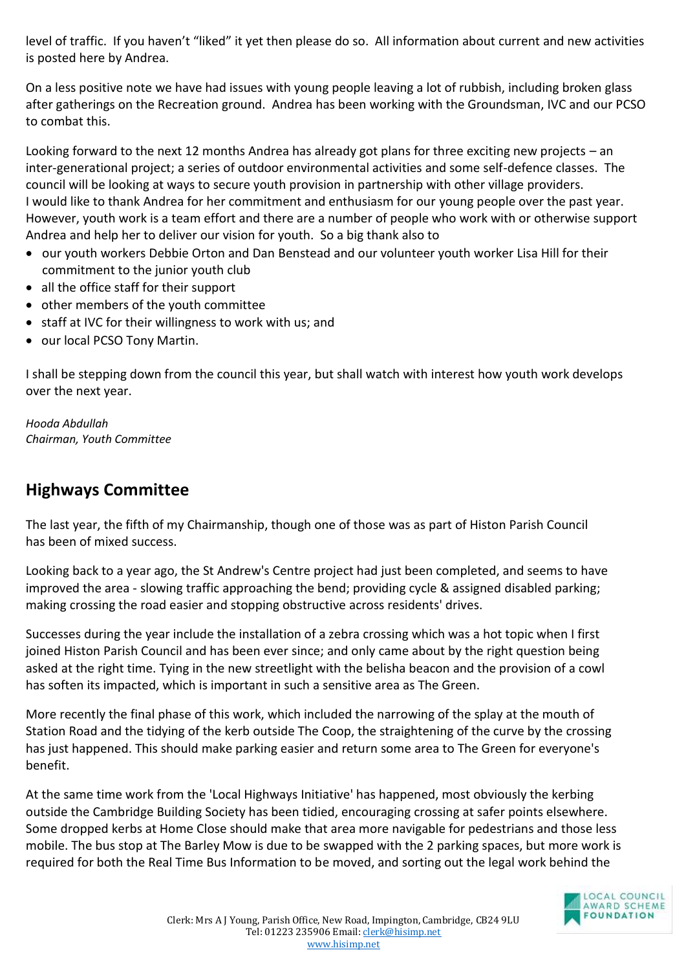level of traffic. If you haven't "liked" it yet then please do so. All information about current and new activities is posted here by Andrea.

On a less positive note we have had issues with young people leaving a lot of rubbish, including broken glass after gatherings on the Recreation ground. Andrea has been working with the Groundsman, IVC and our PCSO to combat this.

Looking forward to the next 12 months Andrea has already got plans for three exciting new projects – an inter-generational project; a series of outdoor environmental activities and some self-defence classes. The council will be looking at ways to secure youth provision in partnership with other village providers. I would like to thank Andrea for her commitment and enthusiasm for our young people over the past year. However, youth work is a team effort and there are a number of people who work with or otherwise support Andrea and help her to deliver our vision for youth. So a big thank also to

- our youth workers Debbie Orton and Dan Benstead and our volunteer youth worker Lisa Hill for their commitment to the junior youth club
- all the office staff for their support
- other members of the youth committee
- staff at IVC for their willingness to work with us; and
- our local PCSO Tony Martin.

I shall be stepping down from the council this year, but shall watch with interest how youth work develops over the next year.

*Hooda Abdullah Chairman, Youth Committee*

#### **Highways Committee**

The last year, the fifth of my Chairmanship, though one of those was as part of Histon Parish Council has been of mixed success.

Looking back to a year ago, the St Andrew's Centre project had just been completed, and seems to have improved the area - slowing traffic approaching the bend; providing cycle & assigned disabled parking; making crossing the road easier and stopping obstructive across residents' drives.

Successes during the year include the installation of a zebra crossing which was a hot topic when I first joined Histon Parish Council and has been ever since; and only came about by the right question being asked at the right time. Tying in the new streetlight with the belisha beacon and the provision of a cowl has soften its impacted, which is important in such a sensitive area as The Green.

More recently the final phase of this work, which included the narrowing of the splay at the mouth of Station Road and the tidying of the kerb outside The Coop, the straightening of the curve by the crossing has just happened. This should make parking easier and return some area to The Green for everyone's benefit.

At the same time work from the 'Local Highways Initiative' has happened, most obviously the kerbing outside the Cambridge Building Society has been tidied, encouraging crossing at safer points elsewhere. Some dropped kerbs at Home Close should make that area more navigable for pedestrians and those less mobile. The bus stop at The Barley Mow is due to be swapped with the 2 parking spaces, but more work is required for both the Real Time Bus Information to be moved, and sorting out the legal work behind the

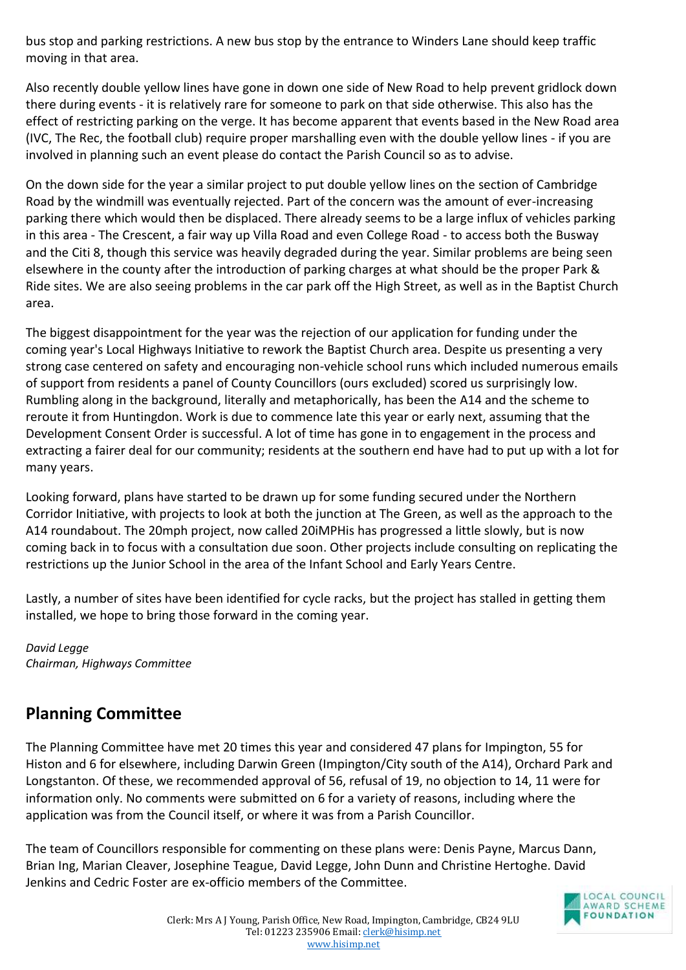bus stop and parking restrictions. A new bus stop by the entrance to Winders Lane should keep traffic moving in that area.

Also recently double yellow lines have gone in down one side of New Road to help prevent gridlock down there during events - it is relatively rare for someone to park on that side otherwise. This also has the effect of restricting parking on the verge. It has become apparent that events based in the New Road area (IVC, The Rec, the football club) require proper marshalling even with the double yellow lines - if you are involved in planning such an event please do contact the Parish Council so as to advise.

On the down side for the year a similar project to put double yellow lines on the section of Cambridge Road by the windmill was eventually rejected. Part of the concern was the amount of ever-increasing parking there which would then be displaced. There already seems to be a large influx of vehicles parking in this area - The Crescent, a fair way up Villa Road and even College Road - to access both the Busway and the Citi 8, though this service was heavily degraded during the year. Similar problems are being seen elsewhere in the county after the introduction of parking charges at what should be the proper Park & Ride sites. We are also seeing problems in the car park off the High Street, as well as in the Baptist Church area.

The biggest disappointment for the year was the rejection of our application for funding under the coming year's Local Highways Initiative to rework the Baptist Church area. Despite us presenting a very strong case centered on safety and encouraging non-vehicle school runs which included numerous emails of support from residents a panel of County Councillors (ours excluded) scored us surprisingly low. Rumbling along in the background, literally and metaphorically, has been the A14 and the scheme to reroute it from Huntingdon. Work is due to commence late this year or early next, assuming that the Development Consent Order is successful. A lot of time has gone in to engagement in the process and extracting a fairer deal for our community; residents at the southern end have had to put up with a lot for many years.

Looking forward, plans have started to be drawn up for some funding secured under the Northern Corridor Initiative, with projects to look at both the junction at The Green, as well as the approach to the A14 roundabout. The 20mph project, now called 20iMPHis has progressed a little slowly, but is now coming back in to focus with a consultation due soon. Other projects include consulting on replicating the restrictions up the Junior School in the area of the Infant School and Early Years Centre.

Lastly, a number of sites have been identified for cycle racks, but the project has stalled in getting them installed, we hope to bring those forward in the coming year.

*David Legge Chairman, Highways Committee* 

#### **Planning Committee**

The Planning Committee have met 20 times this year and considered 47 plans for Impington, 55 for Histon and 6 for elsewhere, including Darwin Green (Impington/City south of the A14), Orchard Park and Longstanton. Of these, we recommended approval of 56, refusal of 19, no objection to 14, 11 were for information only. No comments were submitted on 6 for a variety of reasons, including where the application was from the Council itself, or where it was from a Parish Councillor.

The team of Councillors responsible for commenting on these plans were: Denis Payne, Marcus Dann, Brian Ing, Marian Cleaver, Josephine Teague, David Legge, John Dunn and Christine Hertoghe. David Jenkins and Cedric Foster are ex-officio members of the Committee.

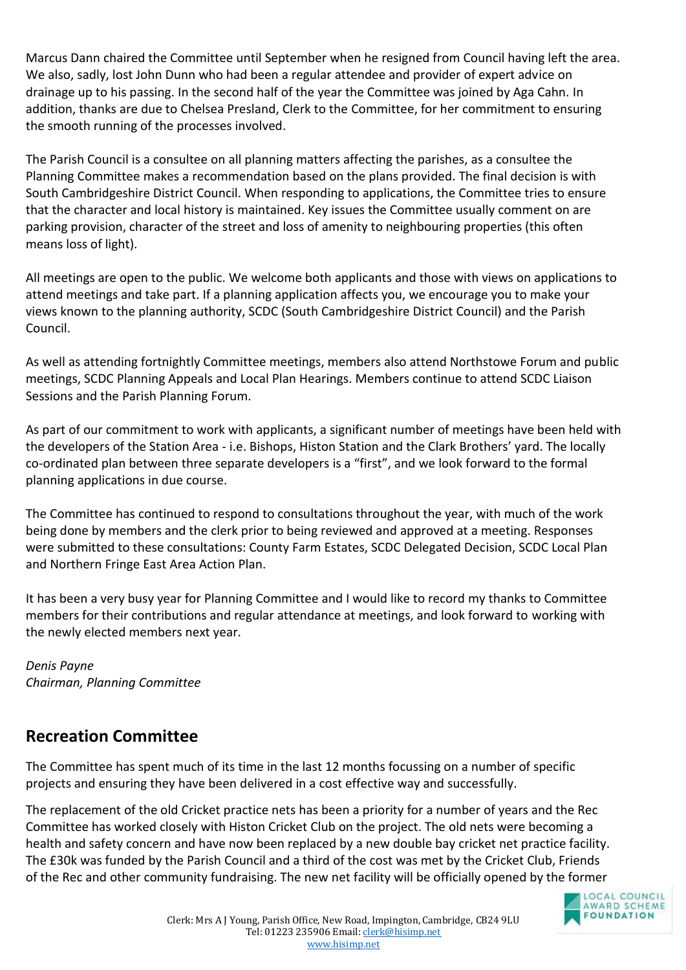Marcus Dann chaired the Committee until September when he resigned from Council having left the area. We also, sadly, lost John Dunn who had been a regular attendee and provider of expert advice on drainage up to his passing. In the second half of the year the Committee was joined by Aga Cahn. In addition, thanks are due to Chelsea Presland, Clerk to the Committee, for her commitment to ensuring the smooth running of the processes involved.

The Parish Council is a consultee on all planning matters affecting the parishes, as a consultee the Planning Committee makes a recommendation based on the plans provided. The final decision is with South Cambridgeshire District Council. When responding to applications, the Committee tries to ensure that the character and local history is maintained. Key issues the Committee usually comment on are parking provision, character of the street and loss of amenity to neighbouring properties (this often means loss of light).

All meetings are open to the public. We welcome both applicants and those with views on applications to attend meetings and take part. If a planning application affects you, we encourage you to make your views known to the planning authority, SCDC (South Cambridgeshire District Council) and the Parish Council.

As well as attending fortnightly Committee meetings, members also attend Northstowe Forum and public meetings, SCDC Planning Appeals and Local Plan Hearings. Members continue to attend SCDC Liaison Sessions and the Parish Planning Forum.

As part of our commitment to work with applicants, a significant number of meetings have been held with the developers of the Station Area - i.e. Bishops, Histon Station and the Clark Brothers' yard. The locally co-ordinated plan between three separate developers is a "first", and we look forward to the formal planning applications in due course.

The Committee has continued to respond to consultations throughout the year, with much of the work being done by members and the clerk prior to being reviewed and approved at a meeting. Responses were submitted to these consultations: County Farm Estates, SCDC Delegated Decision, SCDC Local Plan and Northern Fringe East Area Action Plan.

It has been a very busy year for Planning Committee and I would like to record my thanks to Committee members for their contributions and regular attendance at meetings, and look forward to working with the newly elected members next year.

*Denis Payne Chairman, Planning Committee*

#### **Recreation Committee**

The Committee has spent much of its time in the last 12 months focussing on a number of specific projects and ensuring they have been delivered in a cost effective way and successfully.

The replacement of the old Cricket practice nets has been a priority for a number of years and the Rec Committee has worked closely with Histon Cricket Club on the project. The old nets were becoming a health and safety concern and have now been replaced by a new double bay cricket net practice facility. The £30k was funded by the Parish Council and a third of the cost was met by the Cricket Club, Friends of the Rec and other community fundraising. The new net facility will be officially opened by the former

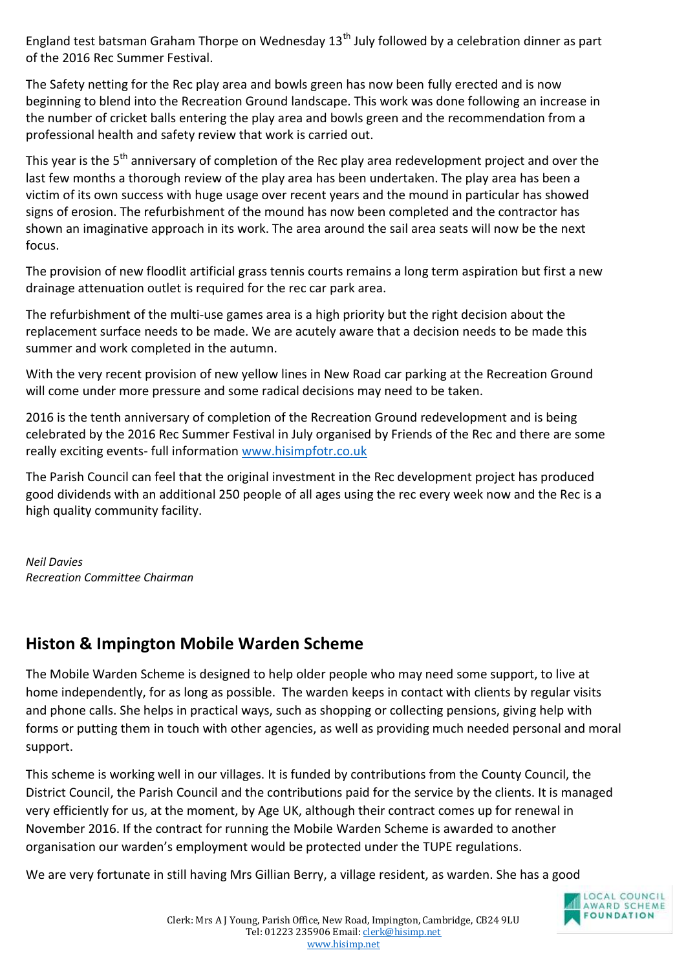England test batsman Graham Thorpe on Wednesday  $13<sup>th</sup>$  July followed by a celebration dinner as part of the 2016 Rec Summer Festival.

The Safety netting for the Rec play area and bowls green has now been fully erected and is now beginning to blend into the Recreation Ground landscape. This work was done following an increase in the number of cricket balls entering the play area and bowls green and the recommendation from a professional health and safety review that work is carried out.

This year is the 5<sup>th</sup> anniversary of completion of the Rec play area redevelopment project and over the last few months a thorough review of the play area has been undertaken. The play area has been a victim of its own success with huge usage over recent years and the mound in particular has showed signs of erosion. The refurbishment of the mound has now been completed and the contractor has shown an imaginative approach in its work. The area around the sail area seats will now be the next focus.

The provision of new floodlit artificial grass tennis courts remains a long term aspiration but first a new drainage attenuation outlet is required for the rec car park area.

The refurbishment of the multi-use games area is a high priority but the right decision about the replacement surface needs to be made. We are acutely aware that a decision needs to be made this summer and work completed in the autumn.

With the very recent provision of new yellow lines in New Road car parking at the Recreation Ground will come under more pressure and some radical decisions may need to be taken.

2016 is the tenth anniversary of completion of the Recreation Ground redevelopment and is being celebrated by the 2016 Rec Summer Festival in July organised by Friends of the Rec and there are some really exciting events- full information [www.hisimpfotr.co.uk](http://www.hisimpfotr.co.uk/)

The Parish Council can feel that the original investment in the Rec development project has produced good dividends with an additional 250 people of all ages using the rec every week now and the Rec is a high quality community facility.

*Neil Davies Recreation Committee Chairman*

#### **Histon & Impington Mobile Warden Scheme**

The Mobile Warden Scheme is designed to help older people who may need some support, to live at home independently, for as long as possible. The warden keeps in contact with clients by regular visits and phone calls. She helps in practical ways, such as shopping or collecting pensions, giving help with forms or putting them in touch with other agencies, as well as providing much needed personal and moral support.

This scheme is working well in our villages. It is funded by contributions from the County Council, the District Council, the Parish Council and the contributions paid for the service by the clients. It is managed very efficiently for us, at the moment, by Age UK, although their contract comes up for renewal in November 2016. If the contract for running the Mobile Warden Scheme is awarded to another organisation our warden's employment would be protected under the TUPE regulations.

We are very fortunate in still having Mrs Gillian Berry, a village resident, as warden. She has a good

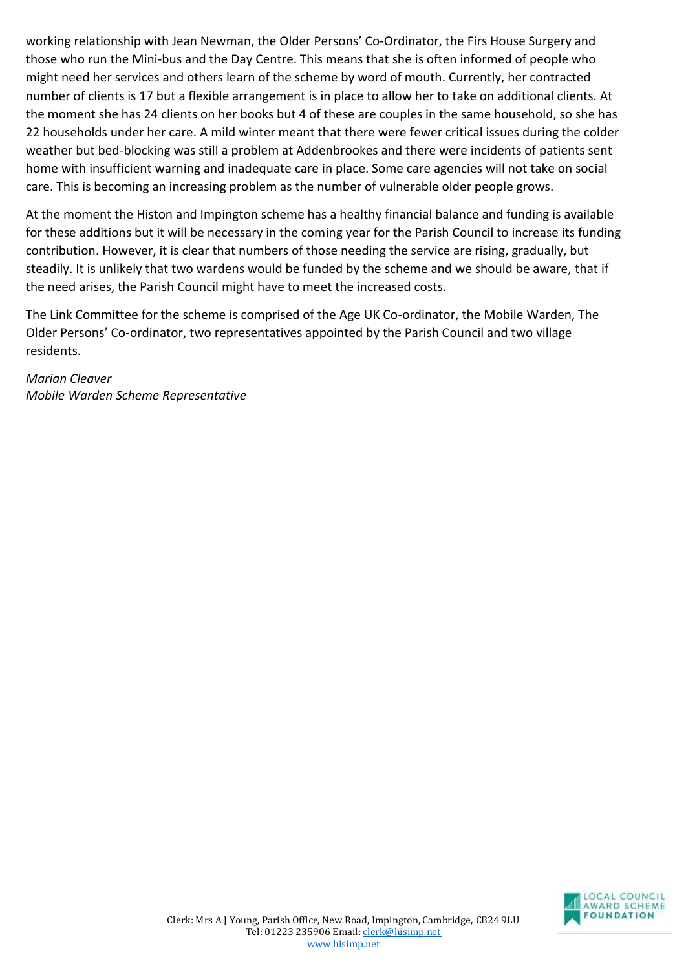working relationship with Jean Newman, the Older Persons' Co-Ordinator, the Firs House Surgery and those who run the Mini-bus and the Day Centre. This means that she is often informed of people who might need her services and others learn of the scheme by word of mouth. Currently, her contracted number of clients is 17 but a flexible arrangement is in place to allow her to take on additional clients. At the moment she has 24 clients on her books but 4 of these are couples in the same household, so she has 22 households under her care. A mild winter meant that there were fewer critical issues during the colder weather but bed-blocking was still a problem at Addenbrookes and there were incidents of patients sent home with insufficient warning and inadequate care in place. Some care agencies will not take on social care. This is becoming an increasing problem as the number of vulnerable older people grows.

At the moment the Histon and Impington scheme has a healthy financial balance and funding is available for these additions but it will be necessary in the coming year for the Parish Council to increase its funding contribution. However, it is clear that numbers of those needing the service are rising, gradually, but steadily. It is unlikely that two wardens would be funded by the scheme and we should be aware, that if the need arises, the Parish Council might have to meet the increased costs.

The Link Committee for the scheme is comprised of the Age UK Co-ordinator, the Mobile Warden, The Older Persons' Co-ordinator, two representatives appointed by the Parish Council and two village residents.

*Marian Cleaver Mobile Warden Scheme Representative*